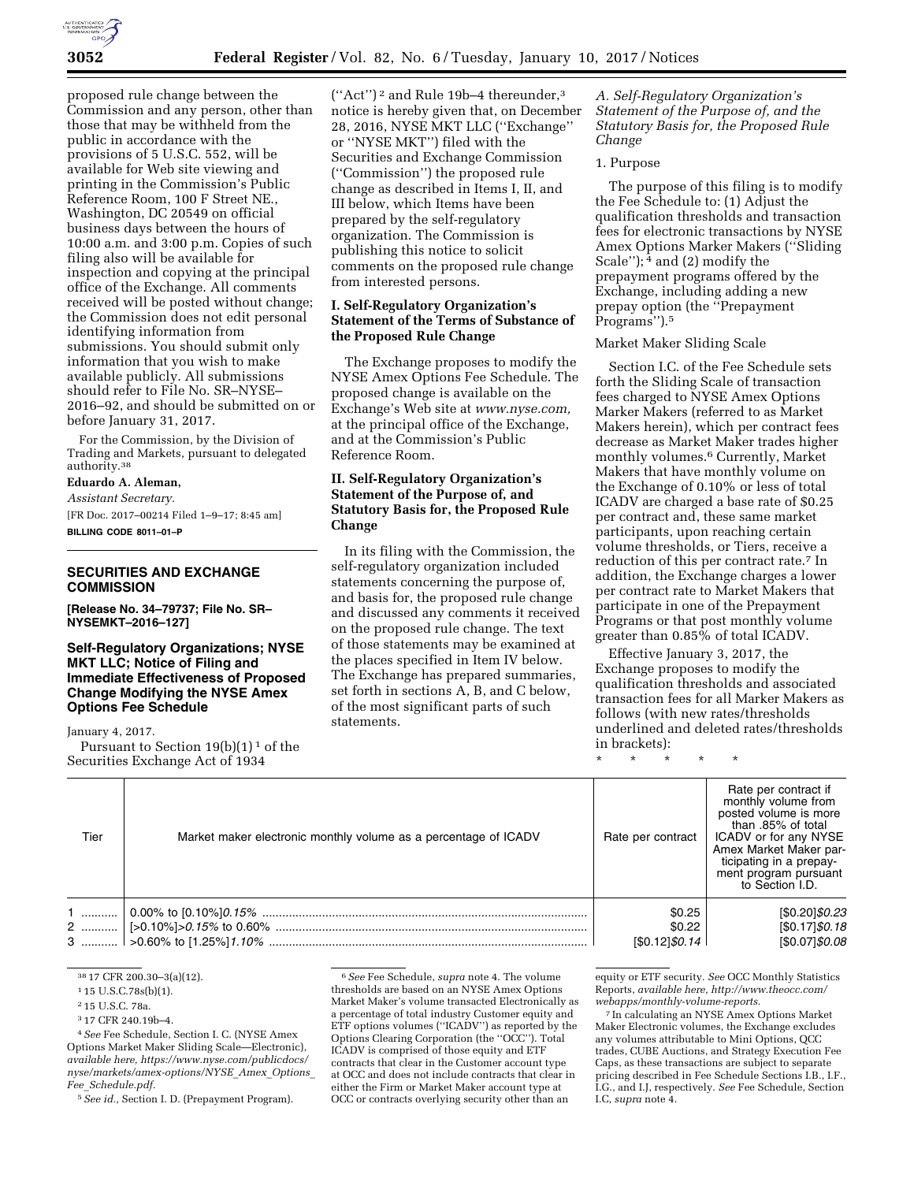

proposed rule change between the Commission and any person, other than those that may be withheld from the public in accordance with the provisions of 5 U.S.C. 552, will be available for Web site viewing and printing in the Commission's Public Reference Room, 100 F Street NE., Washington, DC 20549 on official business days between the hours of 10:00 a.m. and 3:00 p.m. Copies of such filing also will be available for inspection and copying at the principal office of the Exchange. All comments received will be posted without change; the Commission does not edit personal identifying information from submissions. You should submit only information that you wish to make available publicly. All submissions should refer to File No. SR–NYSE– 2016–92, and should be submitted on or before January 31, 2017.

For the Commission, by the Division of Trading and Markets, pursuant to delegated authority.38

#### **Eduardo A. Aleman,**

*Assistant Secretary.*  [FR Doc. 2017–00214 Filed 1–9–17; 8:45 am] **BILLING CODE 8011–01–P** 

## **SECURITIES AND EXCHANGE COMMISSION**

**[Release No. 34–79737; File No. SR– NYSEMKT–2016–127]** 

## **Self-Regulatory Organizations; NYSE MKT LLC; Notice of Filing and Immediate Effectiveness of Proposed Change Modifying the NYSE Amex Options Fee Schedule**

January 4, 2017. Pursuant to Section  $19(b)(1)^1$  of the Securities Exchange Act of 1934

(''Act'') 2 and Rule 19b–4 thereunder,3 notice is hereby given that, on December 28, 2016, NYSE MKT LLC (''Exchange'' or ''NYSE MKT'') filed with the Securities and Exchange Commission (''Commission'') the proposed rule change as described in Items I, II, and III below, which Items have been prepared by the self-regulatory organization. The Commission is publishing this notice to solicit comments on the proposed rule change from interested persons.

## **I. Self-Regulatory Organization's Statement of the Terms of Substance of the Proposed Rule Change**

The Exchange proposes to modify the NYSE Amex Options Fee Schedule. The proposed change is available on the Exchange's Web site at *[www.nyse.com,](http://www.nyse.com)*  at the principal office of the Exchange, and at the Commission's Public Reference Room.

## **II. Self-Regulatory Organization's Statement of the Purpose of, and Statutory Basis for, the Proposed Rule Change**

In its filing with the Commission, the self-regulatory organization included statements concerning the purpose of, and basis for, the proposed rule change and discussed any comments it received on the proposed rule change. The text of those statements may be examined at the places specified in Item IV below. The Exchange has prepared summaries, set forth in sections A, B, and C below, of the most significant parts of such statements.

*A. Self-Regulatory Organization's Statement of the Purpose of, and the Statutory Basis for, the Proposed Rule Change* 

#### 1. Purpose

The purpose of this filing is to modify the Fee Schedule to: (1) Adjust the qualification thresholds and transaction fees for electronic transactions by NYSE Amex Options Marker Makers (''Sliding Scale'');  $\frac{1}{4}$  and (2) modify the prepayment programs offered by the Exchange, including adding a new prepay option (the ''Prepayment Programs'').5

## Market Maker Sliding Scale

Section I.C. of the Fee Schedule sets forth the Sliding Scale of transaction fees charged to NYSE Amex Options Marker Makers (referred to as Market Makers herein), which per contract fees decrease as Market Maker trades higher monthly volumes.6 Currently, Market Makers that have monthly volume on the Exchange of 0.10% or less of total ICADV are charged a base rate of \$0.25 per contract and, these same market participants, upon reaching certain volume thresholds, or Tiers, receive a reduction of this per contract rate.7 In addition, the Exchange charges a lower per contract rate to Market Makers that participate in one of the Prepayment Programs or that post monthly volume greater than 0.85% of total ICADV.

Effective January 3, 2017, the Exchange proposes to modify the qualification thresholds and associated transaction fees for all Marker Makers as follows (with new rates/thresholds underlined and deleted rates/thresholds in brackets):

\* \* \* \* \*

| Tier | Market maker electronic monthly volume as a percentage of ICADV | Rate per contract | Rate per contract if<br>monthly volume from<br>posted volume is more<br>than .85% of total<br>ICADV or for any NYSE<br>Amex Market Maker par-<br>ticipating in a prepay-<br>ment program pursuant<br>to Section I.D. |
|------|-----------------------------------------------------------------|-------------------|----------------------------------------------------------------------------------------------------------------------------------------------------------------------------------------------------------------------|
|      |                                                                 | \$0.25            | [\$0.20] \$0.23                                                                                                                                                                                                      |
|      |                                                                 | \$0.22            | [\$0.17] \$0.18                                                                                                                                                                                                      |
|      |                                                                 | [\$0.12] \$0.14   | [\$0.07]\$0.08                                                                                                                                                                                                       |

<sup>38</sup> 17 CFR 200.30–3(a)(12).

3 17 CFR 240.19b–4.

4*See* Fee Schedule, Section I. C. (NYSE Amex Options Market Maker Sliding Scale—Electronic), *available here, [https://www.nyse.com/publicdocs/](https://www.nyse.com/publicdocs/nyse/markets/amex-options/NYSE_Amex_Options_Fee_Schedule.pdf) [nyse/markets/amex-options/NYSE](https://www.nyse.com/publicdocs/nyse/markets/amex-options/NYSE_Amex_Options_Fee_Schedule.pdf)*\_*Amex*\_*Options*\_ *Fee*\_*[Schedule.pdf.](https://www.nyse.com/publicdocs/nyse/markets/amex-options/NYSE_Amex_Options_Fee_Schedule.pdf)* 

5*See id.,* Section I. D. (Prepayment Program).

equity or ETF security. *See* OCC Monthly Statistics Reports, *available here, [http://www.theocc.com/](http://www.theocc.com/webapps/monthly-volume-reports) [webapps/monthly-volume-reports.](http://www.theocc.com/webapps/monthly-volume-reports)* 

7 In calculating an NYSE Amex Options Market Maker Electronic volumes, the Exchange excludes any volumes attributable to Mini Options, QCC trades, CUBE Auctions, and Strategy Execution Fee Caps, as these transactions are subject to separate pricing described in Fee Schedule Sections I.B., I.F., I.G., and I.J, respectively. *See* Fee Schedule, Section I.C, *supra* note 4.

<sup>1</sup> 15 U.S.C.78s(b)(1).

<sup>2</sup> 15 U.S.C. 78a.

<sup>6</sup>*See* Fee Schedule, *supra* note 4. The volume thresholds are based on an NYSE Amex Options Market Maker's volume transacted Electronically as a percentage of total industry Customer equity and ETF options volumes (''ICADV'') as reported by the Options Clearing Corporation (the ''OCC''). Total ICADV is comprised of those equity and ETF contracts that clear in the Customer account type at OCC and does not include contracts that clear in either the Firm or Market Maker account type at OCC or contracts overlying security other than an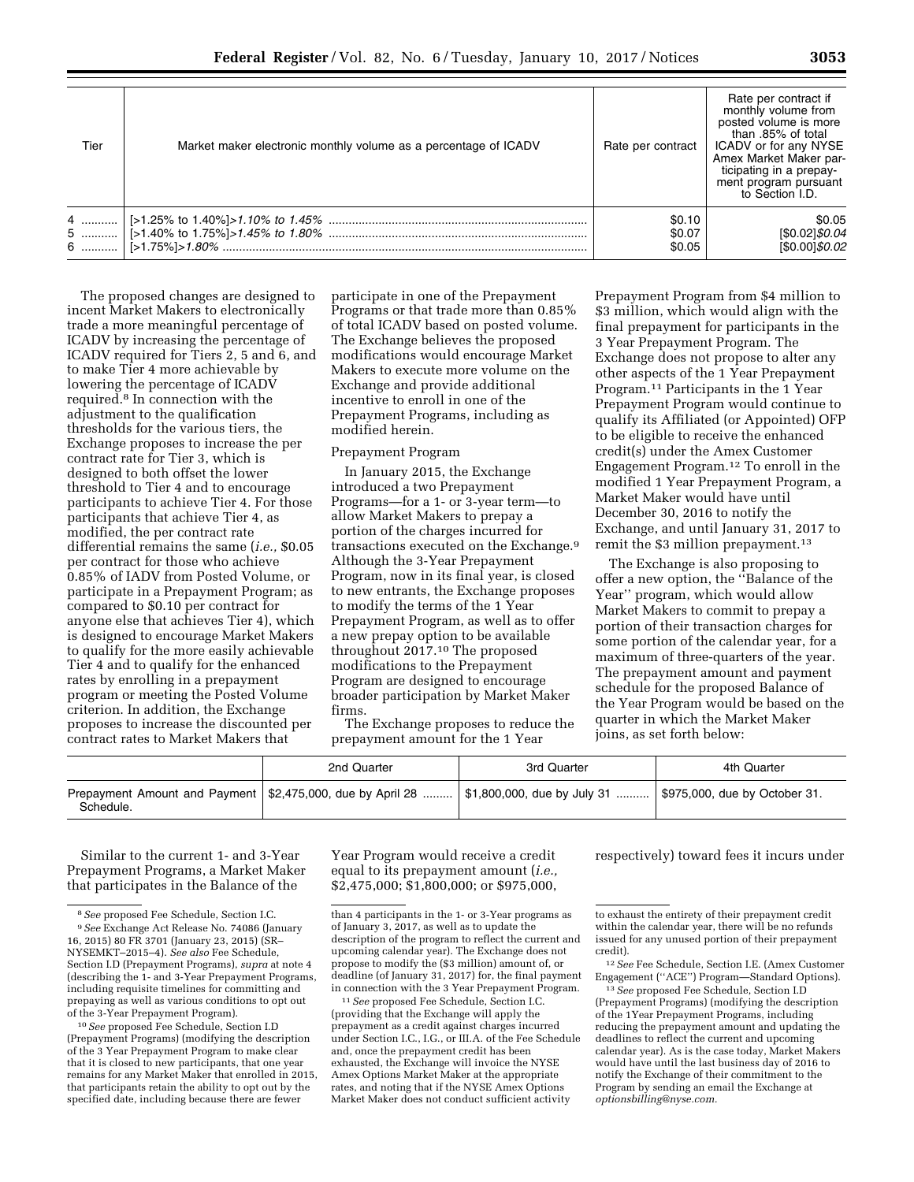| Tier | Market maker electronic monthly volume as a percentage of ICADV | Rate per contract          | Rate per contract if<br>monthly volume from<br>posted volume is more<br>than .85% of total<br>ICADV or for any NYSE<br>Amex Market Maker par-<br>ticipating in a prepay-<br>ment program pursuant<br>to Section I.D. |
|------|-----------------------------------------------------------------|----------------------------|----------------------------------------------------------------------------------------------------------------------------------------------------------------------------------------------------------------------|
|      |                                                                 | \$0.10<br>\$0.07<br>\$0.05 | \$0.05<br>[\$0.02]\$0.04<br>[\$0.00]\$0.02                                                                                                                                                                           |

The proposed changes are designed to incent Market Makers to electronically trade a more meaningful percentage of ICADV by increasing the percentage of ICADV required for Tiers 2, 5 and 6, and to make Tier 4 more achievable by lowering the percentage of ICADV required.8 In connection with the adjustment to the qualification thresholds for the various tiers, the Exchange proposes to increase the per contract rate for Tier 3, which is designed to both offset the lower threshold to Tier 4 and to encourage participants to achieve Tier 4. For those participants that achieve Tier 4, as modified, the per contract rate differential remains the same (*i.e.,* \$0.05 per contract for those who achieve 0.85% of IADV from Posted Volume, or participate in a Prepayment Program; as compared to \$0.10 per contract for anyone else that achieves Tier 4), which is designed to encourage Market Makers to qualify for the more easily achievable Tier 4 and to qualify for the enhanced rates by enrolling in a prepayment program or meeting the Posted Volume criterion. In addition, the Exchange proposes to increase the discounted per contract rates to Market Makers that

participate in one of the Prepayment Programs or that trade more than 0.85% of total ICADV based on posted volume. The Exchange believes the proposed modifications would encourage Market Makers to execute more volume on the Exchange and provide additional incentive to enroll in one of the Prepayment Programs, including as modified herein.

## Prepayment Program

In January 2015, the Exchange introduced a two Prepayment Programs—for a 1- or 3-year term—to allow Market Makers to prepay a portion of the charges incurred for transactions executed on the Exchange.9 Although the 3-Year Prepayment Program, now in its final year, is closed to new entrants, the Exchange proposes to modify the terms of the 1 Year Prepayment Program, as well as to offer a new prepay option to be available throughout 2017.10 The proposed modifications to the Prepayment Program are designed to encourage broader participation by Market Maker firms.

The Exchange proposes to reduce the prepayment amount for the 1 Year

Prepayment Program from \$4 million to \$3 million, which would align with the final prepayment for participants in the 3 Year Prepayment Program. The Exchange does not propose to alter any other aspects of the 1 Year Prepayment Program.11 Participants in the 1 Year Prepayment Program would continue to qualify its Affiliated (or Appointed) OFP to be eligible to receive the enhanced credit(s) under the Amex Customer Engagement Program.12 To enroll in the modified 1 Year Prepayment Program, a Market Maker would have until December 30, 2016 to notify the Exchange, and until January 31, 2017 to remit the \$3 million prepayment.<sup>13</sup>

The Exchange is also proposing to offer a new option, the ''Balance of the Year'' program, which would allow Market Makers to commit to prepay a portion of their transaction charges for some portion of the calendar year, for a maximum of three-quarters of the year. The prepayment amount and payment schedule for the proposed Balance of the Year Program would be based on the quarter in which the Market Maker joins, as set forth below:

|           | 2nd Quarter                                                                                                                  | 3rd Quarter | 4th Quarter |
|-----------|------------------------------------------------------------------------------------------------------------------------------|-------------|-------------|
| Schedule. | Prepayment Amount and Payment   \$2,475,000, due by April 28    \$1,800,000, due by July 31    \$975,000, due by October 31. |             |             |

Similar to the current 1- and 3-Year Prepayment Programs, a Market Maker that participates in the Balance of the

10*See* proposed Fee Schedule, Section I.D (Prepayment Programs) (modifying the description of the 3 Year Prepayment Program to make clear that it is closed to new participants, that one year remains for any Market Maker that enrolled in 2015, that participants retain the ability to opt out by the specified date, including because there are fewer

Year Program would receive a credit equal to its prepayment amount (*i.e.,*  \$2,475,000; \$1,800,000; or \$975,000,

11*See* proposed Fee Schedule, Section I.C. (providing that the Exchange will apply the prepayment as a credit against charges incurred under Section I.C., I.G., or III.A. of the Fee Schedule and, once the prepayment credit has been exhausted, the Exchange will invoice the NYSE Amex Options Market Maker at the appropriate rates, and noting that if the NYSE Amex Options Market Maker does not conduct sufficient activity

#### respectively) toward fees it incurs under

12*See* Fee Schedule, Section I.E. (Amex Customer Engagement (''ACE'') Program—Standard Options).

13*See* proposed Fee Schedule, Section I.D (Prepayment Programs) (modifying the description of the 1Year Prepayment Programs, including reducing the prepayment amount and updating the deadlines to reflect the current and upcoming calendar year). As is the case today, Market Makers would have until the last business day of 2016 to notify the Exchange of their commitment to the Program by sending an email the Exchange at *[optionsbilling@nyse.com.](mailto:optionsbilling@nyse.com)* 

<sup>8</sup>*See* proposed Fee Schedule, Section I.C. 9*See* Exchange Act Release No. 74086 (January 16, 2015) 80 FR 3701 (January 23, 2015) (SR– NYSEMKT–2015–4). *See also* Fee Schedule, Section I.D (Prepayment Programs), *supra* at note 4 (describing the 1- and 3-Year Prepayment Programs, including requisite timelines for committing and prepaying as well as various conditions to opt out of the 3-Year Prepayment Program).

than 4 participants in the 1- or 3-Year programs as of January 3, 2017, as well as to update the description of the program to reflect the current and upcoming calendar year). The Exchange does not propose to modify the (\$3 million) amount of, or deadline (of January 31, 2017) for, the final payment in connection with the 3 Year Prepayment Program.

to exhaust the entirety of their prepayment credit within the calendar year, there will be no refunds issued for any unused portion of their prepayment credit).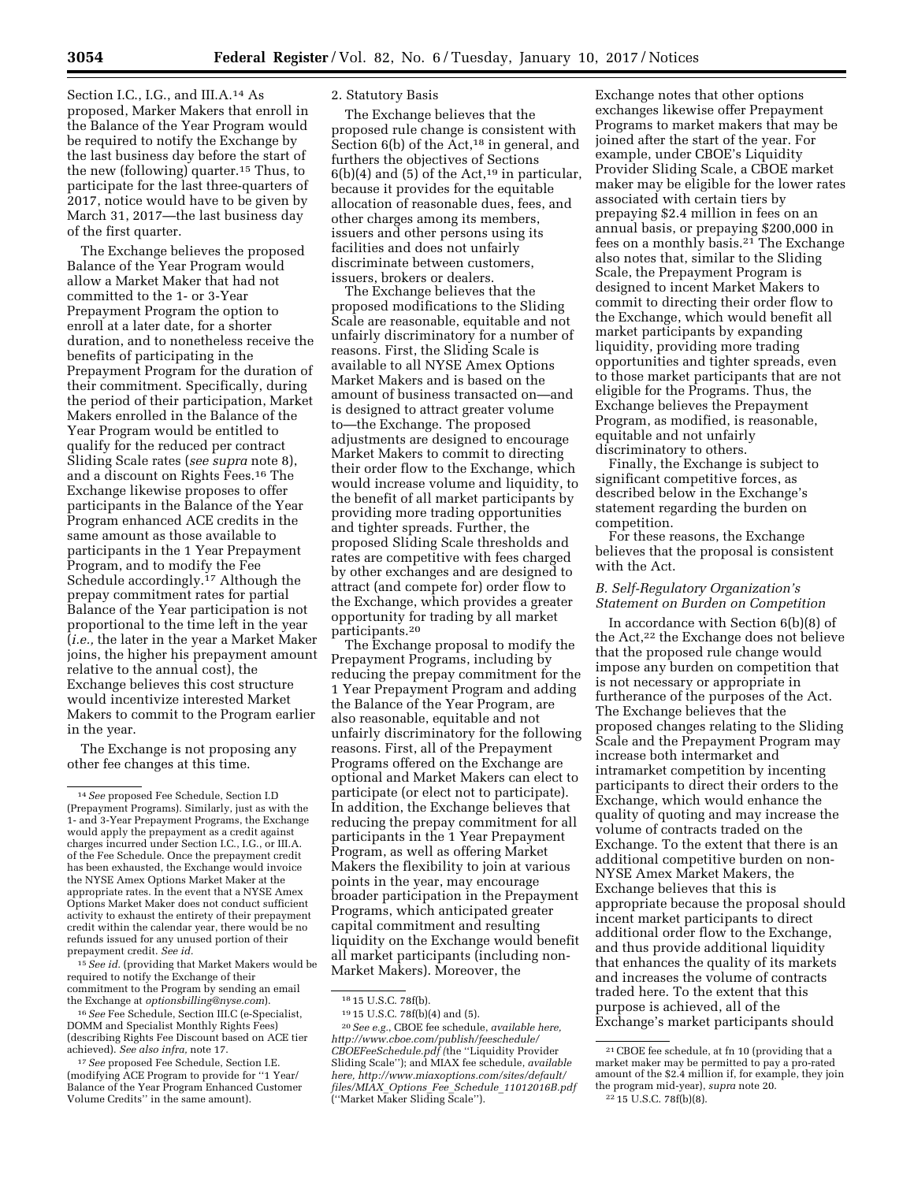Section I.C., I.G., and III.A.<sup>14</sup> As proposed, Marker Makers that enroll in the Balance of the Year Program would be required to notify the Exchange by the last business day before the start of the new (following) quarter.15 Thus, to participate for the last three-quarters of 2017, notice would have to be given by March 31, 2017—the last business day of the first quarter.

The Exchange believes the proposed Balance of the Year Program would allow a Market Maker that had not committed to the 1- or 3-Year Prepayment Program the option to enroll at a later date, for a shorter duration, and to nonetheless receive the benefits of participating in the Prepayment Program for the duration of their commitment. Specifically, during the period of their participation, Market Makers enrolled in the Balance of the Year Program would be entitled to qualify for the reduced per contract Sliding Scale rates (*see supra* note 8), and a discount on Rights Fees.16 The Exchange likewise proposes to offer participants in the Balance of the Year Program enhanced ACE credits in the same amount as those available to participants in the 1 Year Prepayment Program, and to modify the Fee Schedule accordingly.17 Although the prepay commitment rates for partial Balance of the Year participation is not proportional to the time left in the year (*i.e.,* the later in the year a Market Maker joins, the higher his prepayment amount relative to the annual cost), the Exchange believes this cost structure would incentivize interested Market Makers to commit to the Program earlier in the year.

The Exchange is not proposing any other fee changes at this time.

15*See id.* (providing that Market Makers would be required to notify the Exchange of their commitment to the Program by sending an email the Exchange at *[optionsbilling@nyse.com](mailto:optionsbilling@nyse.com)*).

16*See* Fee Schedule, Section III.C (e-Specialist, DOMM and Specialist Monthly Rights Fees) (describing Rights Fee Discount based on ACE tier achieved). *See also infra,* note 17.

17*See* proposed Fee Schedule, Section I.E. (modifying ACE Program to provide for ''1 Year/ Balance of the Year Program Enhanced Customer Volume Credits'' in the same amount).

#### 2. Statutory Basis

The Exchange believes that the proposed rule change is consistent with Section  $6(b)$  of the Act,<sup>18</sup> in general, and furthers the objectives of Sections  $6(b)(4)$  and  $(5)$  of the Act,<sup>19</sup> in particular, because it provides for the equitable allocation of reasonable dues, fees, and other charges among its members, issuers and other persons using its facilities and does not unfairly discriminate between customers, issuers, brokers or dealers.

The Exchange believes that the proposed modifications to the Sliding Scale are reasonable, equitable and not unfairly discriminatory for a number of reasons. First, the Sliding Scale is available to all NYSE Amex Options Market Makers and is based on the amount of business transacted on—and is designed to attract greater volume to—the Exchange. The proposed adjustments are designed to encourage Market Makers to commit to directing their order flow to the Exchange, which would increase volume and liquidity, to the benefit of all market participants by providing more trading opportunities and tighter spreads. Further, the proposed Sliding Scale thresholds and rates are competitive with fees charged by other exchanges and are designed to attract (and compete for) order flow to the Exchange, which provides a greater opportunity for trading by all market participants.20

The Exchange proposal to modify the Prepayment Programs, including by reducing the prepay commitment for the 1 Year Prepayment Program and adding the Balance of the Year Program, are also reasonable, equitable and not unfairly discriminatory for the following reasons. First, all of the Prepayment Programs offered on the Exchange are optional and Market Makers can elect to participate (or elect not to participate). In addition, the Exchange believes that reducing the prepay commitment for all participants in the 1 Year Prepayment Program, as well as offering Market Makers the flexibility to join at various points in the year, may encourage broader participation in the Prepayment Programs, which anticipated greater capital commitment and resulting liquidity on the Exchange would benefit all market participants (including non-Market Makers). Moreover, the

19 15 U.S.C. 78f(b)(4) and (5).

20*See e.g.*, CBOE fee schedule, *available here, [http://www.cboe.com/publish/feeschedule/](http://www.cboe.com/publish/feeschedule/CBOEFeeSchedule.pdf) [CBOEFeeSchedule.pdf](http://www.cboe.com/publish/feeschedule/CBOEFeeSchedule.pdf) (*the ''Liquidity Provider Sliding Scale''); and MIAX fee schedule, *available here, [http://www.miaxoptions.com/sites/default/](http://www.miaxoptions.com/sites/default/files/MIAX_Options_Fee_Schedule_11012016B.pdf) files/MIAX*\_*Options*\_*Fee*\_*Schedule*\_*[11012016B.pdf](http://www.miaxoptions.com/sites/default/files/MIAX_Options_Fee_Schedule_11012016B.pdf)*  (''Market Maker Sliding Scale'').

Exchange notes that other options exchanges likewise offer Prepayment Programs to market makers that may be joined after the start of the year. For example, under CBOE's Liquidity Provider Sliding Scale, a CBOE market maker may be eligible for the lower rates associated with certain tiers by prepaying \$2.4 million in fees on an annual basis, or prepaying \$200,000 in fees on a monthly basis.21 The Exchange also notes that, similar to the Sliding Scale, the Prepayment Program is designed to incent Market Makers to commit to directing their order flow to the Exchange, which would benefit all market participants by expanding liquidity, providing more trading opportunities and tighter spreads, even to those market participants that are not eligible for the Programs. Thus, the Exchange believes the Prepayment Program, as modified, is reasonable, equitable and not unfairly discriminatory to others.

Finally, the Exchange is subject to significant competitive forces, as described below in the Exchange's statement regarding the burden on competition.

For these reasons, the Exchange believes that the proposal is consistent with the Act.

#### *B. Self-Regulatory Organization's Statement on Burden on Competition*

In accordance with Section 6(b)(8) of the Act,<sup>22</sup> the Exchange does not believe that the proposed rule change would impose any burden on competition that is not necessary or appropriate in furtherance of the purposes of the Act. The Exchange believes that the proposed changes relating to the Sliding Scale and the Prepayment Program may increase both intermarket and intramarket competition by incenting participants to direct their orders to the Exchange, which would enhance the quality of quoting and may increase the volume of contracts traded on the Exchange. To the extent that there is an additional competitive burden on non-NYSE Amex Market Makers, the Exchange believes that this is appropriate because the proposal should incent market participants to direct additional order flow to the Exchange, and thus provide additional liquidity that enhances the quality of its markets and increases the volume of contracts traded here. To the extent that this purpose is achieved, all of the Exchange's market participants should

<sup>14</sup>*See* proposed Fee Schedule, Section I.D (Prepayment Programs). Similarly, just as with the 1- and 3-Year Prepayment Programs, the Exchange would apply the prepayment as a credit against charges incurred under Section I.C., I.G., or III.A. of the Fee Schedule. Once the prepayment credit has been exhausted, the Exchange would invoice the NYSE Amex Options Market Maker at the appropriate rates. In the event that a NYSE Amex Options Market Maker does not conduct sufficient activity to exhaust the entirety of their prepayment credit within the calendar year, there would be no refunds issued for any unused portion of their prepayment credit. *See id.* 

<sup>18</sup> 15 U.S.C. 78f(b).

<sup>21</sup>CBOE fee schedule, at fn 10 (providing that a market maker may be permitted to pay a pro-rated amount of the \$2.4 million if, for example, they join the program mid-year), *supra* note 20. 22 15 U.S.C. 78f(b)(8).